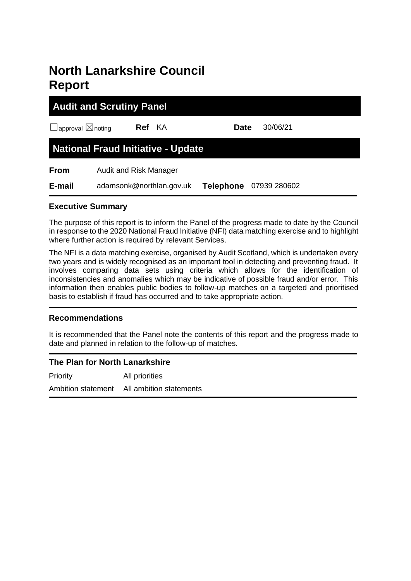# **North Lanarkshire Council Report**

| <b>Audit and Scrutiny Panel</b>           |                        |                          |                  |  |              |  |  |
|-------------------------------------------|------------------------|--------------------------|------------------|--|--------------|--|--|
| $\Box$ approval $\boxtimes$ noting        |                        | <b>Ref</b> KA            | <b>Date</b>      |  | 30/06/21     |  |  |
| <b>National Fraud Initiative - Update</b> |                        |                          |                  |  |              |  |  |
| <b>From</b>                               | Audit and Risk Manager |                          |                  |  |              |  |  |
| E-mail                                    |                        | adamsonk@northlan.gov.uk | <b>Telephone</b> |  | 07939 280602 |  |  |

## **Executive Summary**

The purpose of this report is to inform the Panel of the progress made to date by the Council in response to the 2020 National Fraud Initiative (NFI) data matching exercise and to highlight where further action is required by relevant Services.

The NFI is a data matching exercise, organised by Audit Scotland, which is undertaken every two years and is widely recognised as an important tool in detecting and preventing fraud. It involves comparing data sets using criteria which allows for the identification of inconsistencies and anomalies which may be indicative of possible fraud and/or error. This information then enables public bodies to follow-up matches on a targeted and prioritised basis to establish if fraud has occurred and to take appropriate action.

# **Recommendations**

It is recommended that the Panel note the contents of this report and the progress made to date and planned in relation to the follow-up of matches.

# **The Plan for North Lanarkshire**

Priority All priorities Ambition statement All ambition statements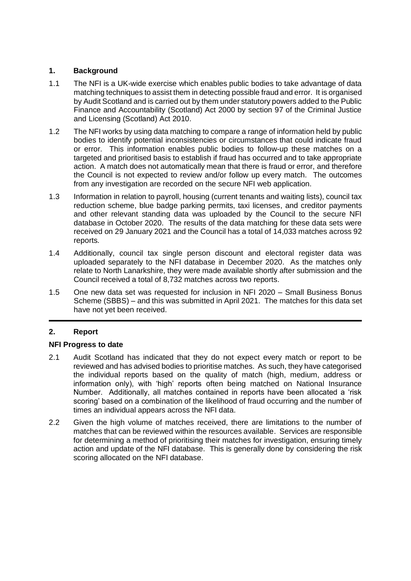# **1. Background**

- 1.1 The NFI is a UK-wide exercise which enables public bodies to take advantage of data matching techniques to assist them in detecting possible fraud and error. It is organised by Audit Scotland and is carried out by them under statutory powers added to the Public Finance and Accountability (Scotland) Act 2000 by section 97 of the Criminal Justice and Licensing (Scotland) Act 2010.
- 1.2 The NFI works by using data matching to compare a range of information held by public bodies to identify potential inconsistencies or circumstances that could indicate fraud or error. This information enables public bodies to follow-up these matches on a targeted and prioritised basis to establish if fraud has occurred and to take appropriate action. A match does not automatically mean that there is fraud or error, and therefore the Council is not expected to review and/or follow up every match. The outcomes from any investigation are recorded on the secure NFI web application.
- 1.3 Information in relation to payroll, housing (current tenants and waiting lists), council tax reduction scheme, blue badge parking permits, taxi licenses, and creditor payments and other relevant standing data was uploaded by the Council to the secure NFI database in October 2020. The results of the data matching for these data sets were received on 29 January 2021 and the Council has a total of 14,033 matches across 92 reports.
- 1.4 Additionally, council tax single person discount and electoral register data was uploaded separately to the NFI database in December 2020. As the matches only relate to North Lanarkshire, they were made available shortly after submission and the Council received a total of 8,732 matches across two reports.
- 1.5 One new data set was requested for inclusion in NFI 2020 Small Business Bonus Scheme (SBBS) – and this was submitted in April 2021. The matches for this data set have not yet been received.

# **2. Report**

## **NFI Progress to date**

- 2.1 Audit Scotland has indicated that they do not expect every match or report to be reviewed and has advised bodies to prioritise matches. As such, they have categorised the individual reports based on the quality of match (high, medium, address or information only), with 'high' reports often being matched on National Insurance Number. Additionally, all matches contained in reports have been allocated a 'risk scoring' based on a combination of the likelihood of fraud occurring and the number of times an individual appears across the NFI data.
- 2.2 Given the high volume of matches received, there are limitations to the number of matches that can be reviewed within the resources available. Services are responsible for determining a method of prioritising their matches for investigation, ensuring timely action and update of the NFI database. This is generally done by considering the risk scoring allocated on the NFI database.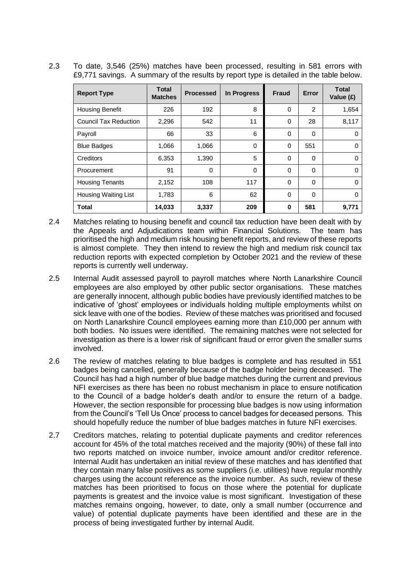2.3 To date, 3,546 (25%) matches have been processed, resulting in 581 errors with £9,771 savings. A summary of the results by report type is detailed in the table below.

| <b>Report Type</b>           | <b>Total</b><br><b>Matches</b> | <b>Processed</b> | In Progress | Fraud       | Error    | <b>Total</b><br>Value (£) |
|------------------------------|--------------------------------|------------------|-------------|-------------|----------|---------------------------|
| <b>Housing Benefit</b>       | 226                            | 192              | 8           | 0           | 2        | 1,654                     |
| <b>Council Tax Reduction</b> | 2,296                          | 542              | 11          | $\mathbf 0$ | 28       | 8,117                     |
| Payroll                      | 66                             | 33               | 6           | 0           | 0        | 0                         |
| <b>Blue Badges</b>           | 1,066                          | 1,066            | 0           | $\mathbf 0$ | 551      | 0                         |
| Creditors                    | 6,353                          | 1,390            | 5           | 0           | 0        | $\Omega$                  |
| Procurement                  | 91                             | $\Omega$         | 0           | 0           | $\Omega$ | $\Omega$                  |
| <b>Housing Tenants</b>       | 2,152                          | 108              | 117         | 0           | 0        | $\Omega$                  |
| <b>Housing Waiting List</b>  | 1,783                          | 6                | 62          | $\Omega$    | $\Omega$ | $\Omega$                  |
| <b>Total</b>                 | 14,033                         | 3,337            | 209         | 0           | 581      | 9,771                     |

- 2.4 Matches relating to housing benefit and council tax reduction have been dealt with by the Appeals and Adjudications team within Financial Solutions. The team has prioritised the high and medium risk housing benefit reports, and review of these reports is almost complete. They then intend to review the high and medium risk council tax reduction reports with expected completion by October 2021 and the review of these reports is currently well underway.
- 2.5 Internal Audit assessed payroll to payroll matches where North Lanarkshire Council employees are also employed by other public sector organisations. These matches are generally innocent, although public bodies have previously identified matches to be indicative of 'ghost' employees or individuals holding multiple employments whilst on sick leave with one of the bodies. Review of these matches was prioritised and focused on North Lanarkshire Council employees earning more than £10,000 per annum with both bodies. No issues were identified. The remaining matches were not selected for investigation as there is a lower risk of significant fraud or error given the smaller sums involved.
- 2.6 The review of matches relating to blue badges is complete and has resulted in 551 badges being cancelled, generally because of the badge holder being deceased. The Council has had a high number of blue badge matches during the current and previous NFI exercises as there has been no robust mechanism in place to ensure notification to the Council of a badge holder's death and/or to ensure the return of a badge. However, the section responsible for processing blue badges is now using information from the Council's 'Tell Us Once' process to cancel badges for deceased persons. This should hopefully reduce the number of blue badges matches in future NFI exercises.
- 2.7 Creditors matches, relating to potential duplicate payments and creditor references account for 45% of the total matches received and the majority (90%) of these fall into two reports matched on invoice number, invoice amount and/or creditor reference. Internal Audit has undertaken an initial review of these matches and has identified that they contain many false positives as some suppliers (i.e. utilities) have regular monthly charges using the account reference as the invoice number. As such, review of these matches has been prioritised to focus on those where the potential for duplicate payments is greatest and the invoice value is most significant. Investigation of these matches remains ongoing, however, to date, only a small number (occurrence and value) of potential duplicate payments have been identified and these are in the process of being investigated further by internal Audit.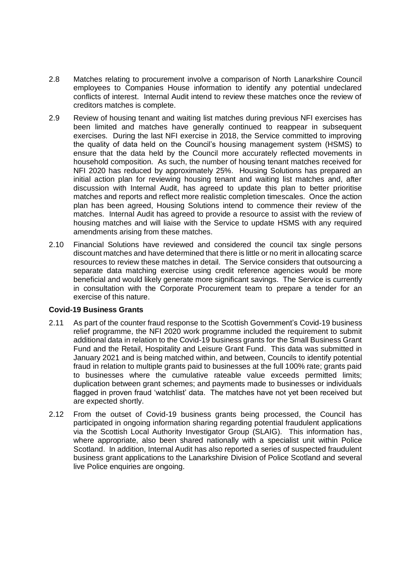- 2.8 Matches relating to procurement involve a comparison of North Lanarkshire Council employees to Companies House information to identify any potential undeclared conflicts of interest. Internal Audit intend to review these matches once the review of creditors matches is complete.
- 2.9 Review of housing tenant and waiting list matches during previous NFI exercises has been limited and matches have generally continued to reappear in subsequent exercises. During the last NFI exercise in 2018, the Service committed to improving the quality of data held on the Council's housing management system (HSMS) to ensure that the data held by the Council more accurately reflected movements in household composition. As such, the number of housing tenant matches received for NFI 2020 has reduced by approximately 25%. Housing Solutions has prepared an initial action plan for reviewing housing tenant and waiting list matches and, after discussion with Internal Audit, has agreed to update this plan to better prioritise matches and reports and reflect more realistic completion timescales. Once the action plan has been agreed, Housing Solutions intend to commence their review of the matches. Internal Audit has agreed to provide a resource to assist with the review of housing matches and will liaise with the Service to update HSMS with any required amendments arising from these matches.
- 2.10 Financial Solutions have reviewed and considered the council tax single persons discount matches and have determined that there is little or no merit in allocating scarce resources to review these matches in detail. The Service considers that outsourcing a separate data matching exercise using credit reference agencies would be more beneficial and would likely generate more significant savings. The Service is currently in consultation with the Corporate Procurement team to prepare a tender for an exercise of this nature.

## **Covid-19 Business Grants**

- 2.11 As part of the counter fraud response to the Scottish Government's Covid-19 business relief programme, the NFI 2020 work programme included the requirement to submit additional data in relation to the Covid-19 business grants for the Small Business Grant Fund and the Retail, Hospitality and Leisure Grant Fund. This data was submitted in January 2021 and is being matched within, and between, Councils to identify potential fraud in relation to multiple grants paid to businesses at the full 100% rate; grants paid to businesses where the cumulative rateable value exceeds permitted limits; duplication between grant schemes; and payments made to businesses or individuals flagged in proven fraud 'watchlist' data. The matches have not yet been received but are expected shortly.
- 2.12 From the outset of Covid-19 business grants being processed, the Council has participated in ongoing information sharing regarding potential fraudulent applications via the Scottish Local Authority Investigator Group (SLAIG). This information has, where appropriate, also been shared nationally with a specialist unit within Police Scotland. In addition, Internal Audit has also reported a series of suspected fraudulent business grant applications to the Lanarkshire Division of Police Scotland and several live Police enquiries are ongoing.